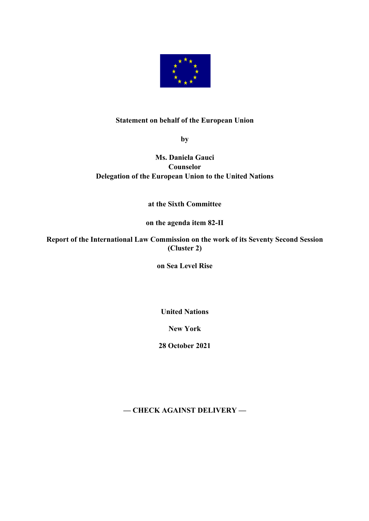

## **Statement on behalf of the European Union**

**by**

## **Ms. Daniela Gauci Counselor Delegation of the European Union to the United Nations**

## **at the Sixth Committee**

## **on the agenda item 82-II**

**Report of the International Law Commission on the work of its Seventy Second Session (Cluster 2)**

**on Sea Level Rise**

**United Nations**

**New York**

**28 October 2021**

**— CHECK AGAINST DELIVERY —**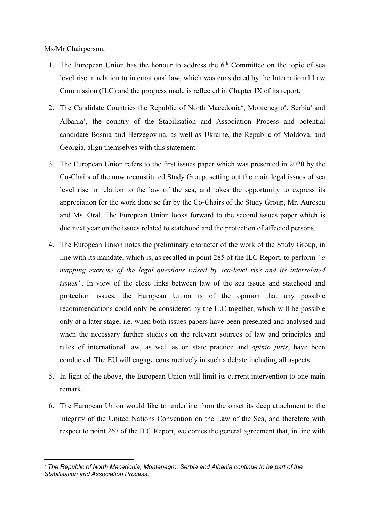Ms/Mr Chairperson,

- 1. The European Union has the honour to address the  $6<sup>th</sup>$  Committee on the topic of sea level rise in relation to international law, which was considered by the International Law Commission (ILC) and the progress made is reflected in Chapter IX of its report.
- 2. The Candidate Countries the Republic of North Macedonia\*, Montenegro\*, Serbia\* and Albania\* , the country of the Stabilisation and Association Process and potential candidate Bosnia and Herzegovina, as well as Ukraine, the Republic of Moldova, and Georgia, align themselves with this statement.
- 3. The European Union refers to the first issues paper which was presented in 2020 by the Co-Chairs of the now reconstituted Study Group, setting out the main legal issues of sea level rise in relation to the law of the sea, and takes the opportunity to express its appreciation for the work done so far by the Co-Chairs of the Study Group, Mr. Aurescu and Ms. Oral. The European Union looks forward to the second issues paper which is due next year on the issues related to statehood and the protection of affected persons.
- 4. The European Union notes the preliminary character of the work of the Study Group, in line with its mandate, which is, as recalled in point 285 of the ILC Report, to perform *"a mapping exercise of the legal questions raised by sea-level rise and its interrelated issues"*. In view of the close links between law of the sea issues and statehood and protection issues, the European Union is of the opinion that any possible recommendations could only be considered by the ILC together, which will be possible only at a later stage, i.e. when both issues papers have been presented and analysed and when the necessary further studies on the relevant sources of law and principles and rules of international law, as well as on state practice and *opinio juris*, have been conducted. The EU will engage constructively in such a debate including all aspects.
- 5. In light of the above, the European Union will limit its current intervention to one main remark.
- 6. The European Union would like to underline from the onset its deep attachment to the integrity of the United Nations Convention on the Law of the Sea, and therefore with respect to point 267 of the ILC Report, welcomes the general agreement that, in line with

<sup>\*</sup> *The Republic of North Macedonia, Montenegro, Serbia and Albania continue to be part of the Stabilisation and Association Process.*